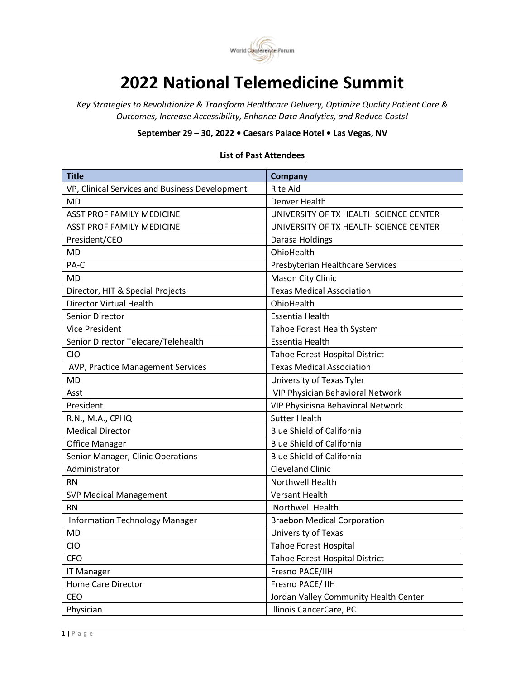

## **2022 National Telemedicine Summit**

*Key Strategies to Revolutionize & Transform Healthcare Delivery, Optimize Quality Patient Care & Outcomes, Increase Accessibility, Enhance Data Analytics, and Reduce Costs!*

**September 29 – 30, 2022 • Caesars Palace Hotel • Las Vegas, NV**

## **List of Past Attendees**

| <b>Title</b>                                   | Company                                |
|------------------------------------------------|----------------------------------------|
| VP, Clinical Services and Business Development | <b>Rite Aid</b>                        |
| MD                                             | Denver Health                          |
| <b>ASST PROF FAMILY MEDICINE</b>               | UNIVERSITY OF TX HEALTH SCIENCE CENTER |
| ASST PROF FAMILY MEDICINE                      | UNIVERSITY OF TX HEALTH SCIENCE CENTER |
| President/CEO                                  | Darasa Holdings                        |
| <b>MD</b>                                      | OhioHealth                             |
| PA-C                                           | Presbyterian Healthcare Services       |
| MD                                             | Mason City Clinic                      |
| Director, HIT & Special Projects               | <b>Texas Medical Association</b>       |
| <b>Director Virtual Health</b>                 | OhioHealth                             |
| <b>Senior Director</b>                         | <b>Essentia Health</b>                 |
| <b>Vice President</b>                          | Tahoe Forest Health System             |
| Senior DIrector Telecare/Telehealth            | <b>Essentia Health</b>                 |
| <b>CIO</b>                                     | <b>Tahoe Forest Hospital District</b>  |
| AVP, Practice Management Services              | <b>Texas Medical Association</b>       |
| MD                                             | University of Texas Tyler              |
| Asst                                           | VIP Physician Behavioral Network       |
| President                                      | VIP Physicisna Behavioral Network      |
| R.N., M.A., CPHQ                               | <b>Sutter Health</b>                   |
| <b>Medical Director</b>                        | <b>Blue Shield of California</b>       |
| <b>Office Manager</b>                          | <b>Blue Shield of California</b>       |
| Senior Manager, Clinic Operations              | <b>Blue Shield of California</b>       |
| Administrator                                  | <b>Cleveland Clinic</b>                |
| <b>RN</b>                                      | Northwell Health                       |
| <b>SVP Medical Management</b>                  | <b>Versant Health</b>                  |
| <b>RN</b>                                      | Northwell Health                       |
| <b>Information Technology Manager</b>          | <b>Braebon Medical Corporation</b>     |
| <b>MD</b>                                      | University of Texas                    |
| CIO                                            | <b>Tahoe Forest Hospital</b>           |
| <b>CFO</b>                                     | <b>Tahoe Forest Hospital District</b>  |
| <b>IT Manager</b>                              | Fresno PACE/IIH                        |
| <b>Home Care Director</b>                      | Fresno PACE/ IIH                       |
| CEO                                            | Jordan Valley Community Health Center  |
| Physician                                      | Illinois CancerCare, PC                |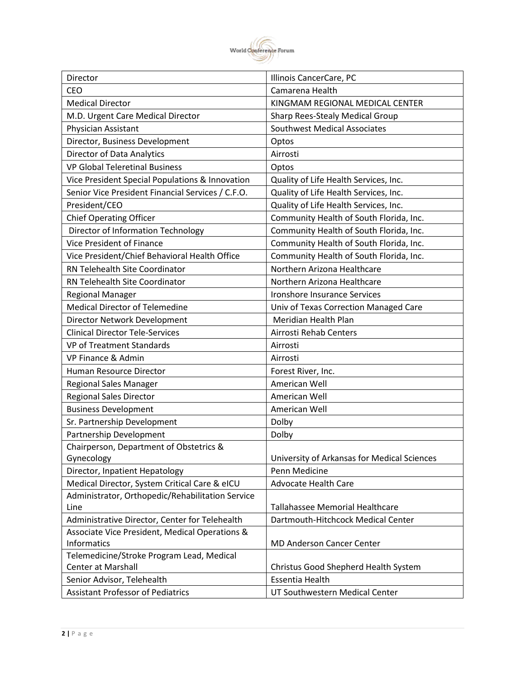

| Director                                          | Illinois CancerCare, PC                     |
|---------------------------------------------------|---------------------------------------------|
| CEO                                               | Camarena Health                             |
| <b>Medical Director</b>                           | KINGMAM REGIONAL MEDICAL CENTER             |
| M.D. Urgent Care Medical Director                 | Sharp Rees-Stealy Medical Group             |
| Physician Assistant                               | <b>Southwest Medical Associates</b>         |
| Director, Business Development                    | Optos                                       |
| Director of Data Analytics                        | Airrosti                                    |
| <b>VP Global Teleretinal Business</b>             | Optos                                       |
| Vice President Special Populations & Innovation   | Quality of Life Health Services, Inc.       |
| Senior Vice President Financial Services / C.F.O. | Quality of Life Health Services, Inc.       |
| President/CEO                                     | Quality of Life Health Services, Inc.       |
| <b>Chief Operating Officer</b>                    | Community Health of South Florida, Inc.     |
| Director of Information Technology                | Community Health of South Florida, Inc.     |
| Vice President of Finance                         | Community Health of South Florida, Inc.     |
| Vice President/Chief Behavioral Health Office     | Community Health of South Florida, Inc.     |
| RN Telehealth Site Coordinator                    | Northern Arizona Healthcare                 |
| RN Telehealth Site Coordinator                    | Northern Arizona Healthcare                 |
| <b>Regional Manager</b>                           | Ironshore Insurance Services                |
| <b>Medical Director of Telemedine</b>             | Univ of Texas Correction Managed Care       |
| Director Network Development                      | Meridian Health Plan                        |
| <b>Clinical Director Tele-Services</b>            | Airrosti Rehab Centers                      |
| <b>VP of Treatment Standards</b>                  | Airrosti                                    |
| VP Finance & Admin                                | Airrosti                                    |
| Human Resource Director                           | Forest River, Inc.                          |
| Regional Sales Manager                            | American Well                               |
| <b>Regional Sales Director</b>                    | American Well                               |
| <b>Business Development</b>                       | American Well                               |
| Sr. Partnership Development                       | Dolby                                       |
| Partnership Development                           | Dolby                                       |
| Chairperson, Department of Obstetrics &           |                                             |
| Gynecology                                        | University of Arkansas for Medical Sciences |
| Director, Inpatient Hepatology                    | Penn Medicine                               |
| Medical Director, System Critical Care & eICU     | <b>Advocate Health Care</b>                 |
| Administrator, Orthopedic/Rehabilitation Service  |                                             |
| Line                                              | <b>Tallahassee Memorial Healthcare</b>      |
| Administrative Director, Center for Telehealth    | Dartmouth-Hitchcock Medical Center          |
| Associate Vice President, Medical Operations &    |                                             |
| Informatics                                       | <b>MD Anderson Cancer Center</b>            |
| Telemedicine/Stroke Program Lead, Medical         |                                             |
| <b>Center at Marshall</b>                         | Christus Good Shepherd Health System        |
| Senior Advisor, Telehealth                        | Essentia Health                             |
| <b>Assistant Professor of Pediatrics</b>          | UT Southwestern Medical Center              |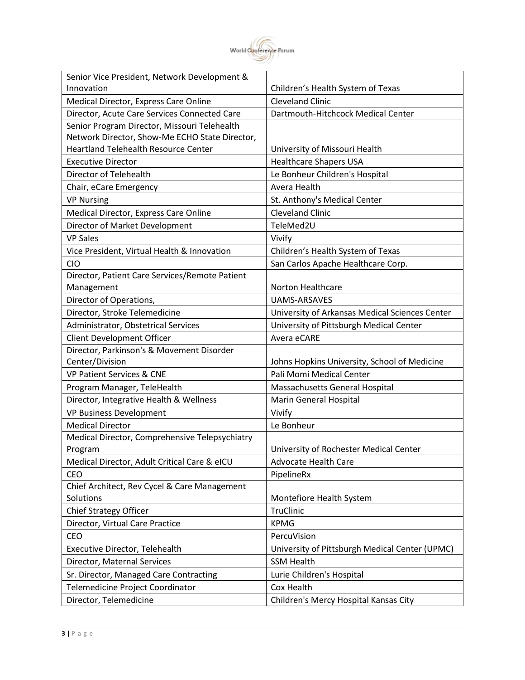

| Senior Vice President, Network Development &   |                                                |
|------------------------------------------------|------------------------------------------------|
| Innovation                                     | Children's Health System of Texas              |
| Medical Director, Express Care Online          | <b>Cleveland Clinic</b>                        |
| Director, Acute Care Services Connected Care   | Dartmouth-Hitchcock Medical Center             |
| Senior Program Director, Missouri Telehealth   |                                                |
| Network Director, Show-Me ECHO State Director, |                                                |
| <b>Heartland Telehealth Resource Center</b>    | University of Missouri Health                  |
| <b>Executive Director</b>                      | <b>Healthcare Shapers USA</b>                  |
| Director of Telehealth                         | Le Bonheur Children's Hospital                 |
| Chair, eCare Emergency                         | Avera Health                                   |
| <b>VP Nursing</b>                              | St. Anthony's Medical Center                   |
| Medical Director, Express Care Online          | <b>Cleveland Clinic</b>                        |
| Director of Market Development                 | TeleMed2U                                      |
| <b>VP Sales</b>                                | Vivify                                         |
| Vice President, Virtual Health & Innovation    | Children's Health System of Texas              |
| <b>CIO</b>                                     | San Carlos Apache Healthcare Corp.             |
| Director, Patient Care Services/Remote Patient |                                                |
| Management                                     | Norton Healthcare                              |
| Director of Operations,                        | <b>UAMS-ARSAVES</b>                            |
| Director, Stroke Telemedicine                  | University of Arkansas Medical Sciences Center |
| Administrator, Obstetrical Services            | University of Pittsburgh Medical Center        |
| Client Development Officer                     | Avera eCARE                                    |
| Director, Parkinson's & Movement Disorder      |                                                |
| Center/Division                                | Johns Hopkins University, School of Medicine   |
| <b>VP Patient Services &amp; CNE</b>           | Pali Momi Medical Center                       |
| Program Manager, TeleHealth                    | Massachusetts General Hospital                 |
| Director, Integrative Health & Wellness        | Marin General Hospital                         |
| VP Business Development                        | Vivify                                         |
| <b>Medical Director</b>                        | Le Bonheur                                     |
| Medical Director, Comprehensive Telepsychiatry |                                                |
| Program                                        | University of Rochester Medical Center         |
| Medical Director, Adult Critical Care & eICU   | <b>Advocate Health Care</b>                    |
| <b>CEO</b>                                     | PipelineRx                                     |
| Chief Architect, Rev Cycel & Care Management   |                                                |
| Solutions                                      | Montefiore Health System                       |
| Chief Strategy Officer                         | TruClinic                                      |
| Director, Virtual Care Practice                | <b>KPMG</b>                                    |
| CEO                                            | PercuVision                                    |
| Executive Director, Telehealth                 | University of Pittsburgh Medical Center (UPMC) |
| Director, Maternal Services                    | <b>SSM Health</b>                              |
| Sr. Director, Managed Care Contracting         | Lurie Children's Hospital                      |
| Telemedicine Project Coordinator               | Cox Health                                     |
| Director, Telemedicine                         | Children's Mercy Hospital Kansas City          |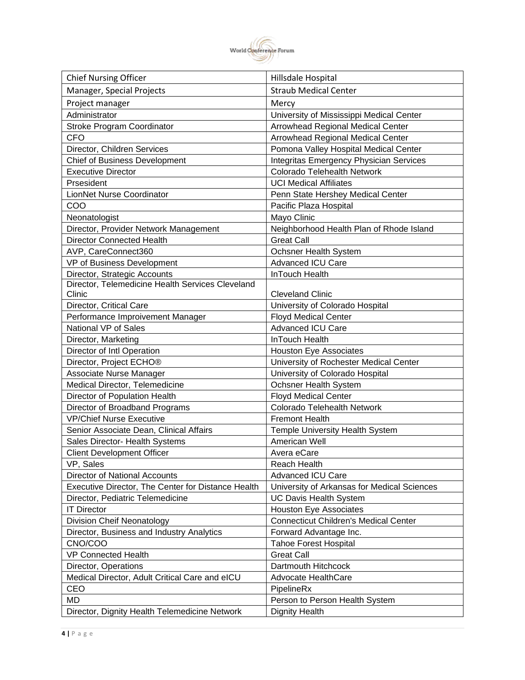

| <b>Chief Nursing Officer</b>                       | Hillsdale Hospital                             |
|----------------------------------------------------|------------------------------------------------|
| Manager, Special Projects                          | <b>Straub Medical Center</b>                   |
| Project manager                                    | Mercy                                          |
| Administrator                                      | University of Mississippi Medical Center       |
| Stroke Program Coordinator                         | <b>Arrowhead Regional Medical Center</b>       |
| <b>CFO</b>                                         | <b>Arrowhead Regional Medical Center</b>       |
| Director, Children Services                        | Pomona Valley Hospital Medical Center          |
| <b>Chief of Business Development</b>               | <b>Integritas Emergency Physician Services</b> |
| <b>Executive Director</b>                          | Colorado Telehealth Network                    |
| Prsesident                                         | <b>UCI Medical Affiliates</b>                  |
| LionNet Nurse Coordinator                          | Penn State Hershey Medical Center              |
| COO                                                | Pacific Plaza Hospital                         |
| Neonatologist                                      | Mayo Clinic                                    |
| Director, Provider Network Management              | Neighborhood Health Plan of Rhode Island       |
| <b>Director Connected Health</b>                   | <b>Great Call</b>                              |
| AVP, CareConnect360                                | Ochsner Health System                          |
| VP of Business Development                         | <b>Advanced ICU Care</b>                       |
| Director, Strategic Accounts                       | InTouch Health                                 |
| Director, Telemedicine Health Services Cleveland   |                                                |
| Clinic                                             | <b>Cleveland Clinic</b>                        |
| Director, Critical Care                            | University of Colorado Hospital                |
| Performance Improivement Manager                   | <b>Floyd Medical Center</b>                    |
| National VP of Sales                               | <b>Advanced ICU Care</b>                       |
| Director, Marketing                                | InTouch Health                                 |
| Director of Intl Operation                         | <b>Houston Eye Associates</b>                  |
| Director, Project ECHO <sup>®</sup>                | University of Rochester Medical Center         |
| Associate Nurse Manager                            | University of Colorado Hospital                |
| Medical Director, Telemedicine                     | Ochsner Health System                          |
| Director of Population Health                      | <b>Floyd Medical Center</b>                    |
| Director of Broadband Programs                     | Colorado Telehealth Network                    |
| <b>VP/Chief Nurse Executive</b>                    | <b>Fremont Health</b>                          |
| Senior Associate Dean, Clinical Affairs            | Temple University Health System                |
| Sales Director- Health Systems                     | American Well                                  |
| <b>Client Development Officer</b>                  | Avera eCare                                    |
| VP, Sales                                          | <b>Reach Health</b>                            |
| <b>Director of National Accounts</b>               | <b>Advanced ICU Care</b>                       |
| Executive Director, The Center for Distance Health | University of Arkansas for Medical Sciences    |
| Director, Pediatric Telemedicine                   | UC Davis Health System                         |
| <b>IT Director</b>                                 | <b>Houston Eye Associates</b>                  |
| Division Cheif Neonatology                         | <b>Connecticut Children's Medical Center</b>   |
| Director, Business and Industry Analytics          | Forward Advantage Inc.                         |
| CNO/COO                                            | <b>Tahoe Forest Hospital</b>                   |
| <b>VP Connected Health</b>                         | <b>Great Call</b>                              |
| Director, Operations                               | Dartmouth Hitchcock                            |
| Medical Director, Adult Critical Care and eICU     | Advocate HealthCare                            |
| CEO                                                | PipelineRx                                     |
| MD                                                 | Person to Person Health System                 |
| Director, Dignity Health Telemedicine Network      | <b>Dignity Health</b>                          |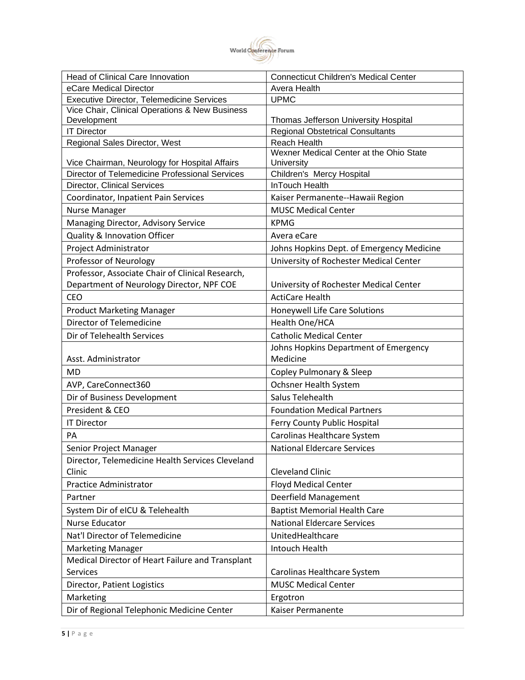

| <b>Head of Clinical Care Innovation</b>          | <b>Connecticut Children's Medical Center</b>                   |
|--------------------------------------------------|----------------------------------------------------------------|
| eCare Medical Director                           | Avera Health                                                   |
| <b>Executive Director, Telemedicine Services</b> | <b>UPMC</b>                                                    |
| Vice Chair, Clinical Operations & New Business   |                                                                |
| Development<br><b>IT Director</b>                | Thomas Jefferson University Hospital                           |
|                                                  | <b>Regional Obstetrical Consultants</b><br><b>Reach Health</b> |
| Regional Sales Director, West                    | Wexner Medical Center at the Ohio State                        |
| Vice Chairman, Neurology for Hospital Affairs    | University                                                     |
| Director of Telemedicine Professional Services   | Children's Mercy Hospital                                      |
| Director, Clinical Services                      | <b>InTouch Health</b>                                          |
| Coordinator, Inpatient Pain Services             | Kaiser Permanente--Hawaii Region                               |
| <b>Nurse Manager</b>                             | <b>MUSC Medical Center</b>                                     |
| Managing Director, Advisory Service              | <b>KPMG</b>                                                    |
| Quality & Innovation Officer                     | Avera eCare                                                    |
| Project Administrator                            | Johns Hopkins Dept. of Emergency Medicine                      |
| Professor of Neurology                           | University of Rochester Medical Center                         |
| Professor, Associate Chair of Clinical Research, |                                                                |
| Department of Neurology Director, NPF COE        | University of Rochester Medical Center                         |
| <b>CEO</b>                                       | <b>ActiCare Health</b>                                         |
| <b>Product Marketing Manager</b>                 | Honeywell Life Care Solutions                                  |
| Director of Telemedicine                         | Health One/HCA                                                 |
| Dir of Telehealth Services                       | <b>Catholic Medical Center</b>                                 |
|                                                  | Johns Hopkins Department of Emergency                          |
| Asst. Administrator                              | Medicine                                                       |
| <b>MD</b>                                        | Copley Pulmonary & Sleep                                       |
| AVP, CareConnect360                              | Ochsner Health System                                          |
| Dir of Business Development                      | Salus Telehealth                                               |
| President & CEO                                  | <b>Foundation Medical Partners</b>                             |
| <b>IT Director</b>                               | Ferry County Public Hospital                                   |
| PA                                               | Carolinas Healthcare System                                    |
| Senior Project Manager                           | <b>National Eldercare Services</b>                             |
| Director, Telemedicine Health Services Cleveland |                                                                |
| Clinic                                           | <b>Cleveland Clinic</b>                                        |
| <b>Practice Administrator</b>                    | <b>Floyd Medical Center</b>                                    |
| Partner                                          | Deerfield Management                                           |
| System Dir of eICU & Telehealth                  | <b>Baptist Memorial Health Care</b>                            |
| <b>Nurse Educator</b>                            | <b>National Eldercare Services</b>                             |
| Nat'l Director of Telemedicine                   | UnitedHealthcare                                               |
| <b>Marketing Manager</b>                         | Intouch Health                                                 |
| Medical Director of Heart Failure and Transplant |                                                                |
| <b>Services</b>                                  | Carolinas Healthcare System                                    |
| Director, Patient Logistics                      | <b>MUSC Medical Center</b>                                     |
| Marketing                                        | Ergotron                                                       |
| Dir of Regional Telephonic Medicine Center       | Kaiser Permanente                                              |
|                                                  |                                                                |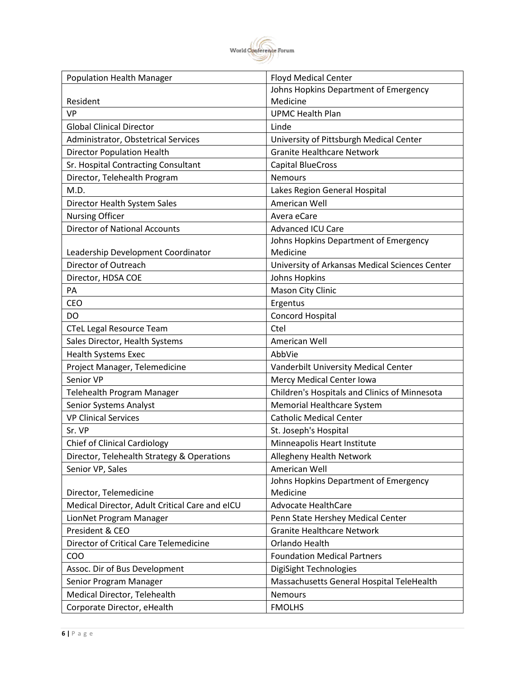

| <b>Population Health Manager</b>               | <b>Floyd Medical Center</b>                    |
|------------------------------------------------|------------------------------------------------|
|                                                | Johns Hopkins Department of Emergency          |
| Resident                                       | Medicine                                       |
| <b>VP</b>                                      | <b>UPMC Health Plan</b>                        |
| <b>Global Clinical Director</b>                | Linde                                          |
| Administrator, Obstetrical Services            | University of Pittsburgh Medical Center        |
| <b>Director Population Health</b>              | <b>Granite Healthcare Network</b>              |
| Sr. Hospital Contracting Consultant            | <b>Capital BlueCross</b>                       |
| Director, Telehealth Program                   | <b>Nemours</b>                                 |
| M.D.                                           | Lakes Region General Hospital                  |
| Director Health System Sales                   | American Well                                  |
| <b>Nursing Officer</b>                         | Avera eCare                                    |
| <b>Director of National Accounts</b>           | Advanced ICU Care                              |
|                                                | Johns Hopkins Department of Emergency          |
| Leadership Development Coordinator             | Medicine                                       |
| Director of Outreach                           | University of Arkansas Medical Sciences Center |
| Director, HDSA COE                             | Johns Hopkins                                  |
| PA                                             | Mason City Clinic                              |
| <b>CEO</b>                                     | Ergentus                                       |
| DO                                             | Concord Hospital                               |
| <b>CTeL Legal Resource Team</b>                | Ctel                                           |
| Sales Director, Health Systems                 | American Well                                  |
| <b>Health Systems Exec</b>                     | AbbVie                                         |
| Project Manager, Telemedicine                  | Vanderbilt University Medical Center           |
| Senior VP                                      | Mercy Medical Center Iowa                      |
| Telehealth Program Manager                     | Children's Hospitals and Clinics of Minnesota  |
| Senior Systems Analyst                         | Memorial Healthcare System                     |
| <b>VP Clinical Services</b>                    | <b>Catholic Medical Center</b>                 |
| Sr. VP                                         | St. Joseph's Hospital                          |
| <b>Chief of Clinical Cardiology</b>            | Minneapolis Heart Institute                    |
| Director, Telehealth Strategy & Operations     | Allegheny Health Network                       |
| Senior VP, Sales                               | American Well                                  |
|                                                | Johns Hopkins Department of Emergency          |
| Director, Telemedicine                         | Medicine                                       |
| Medical Director, Adult Critical Care and eICU | <b>Advocate HealthCare</b>                     |
| LionNet Program Manager                        | Penn State Hershey Medical Center              |
| President & CEO                                | <b>Granite Healthcare Network</b>              |
| Director of Critical Care Telemedicine         | Orlando Health                                 |
| <b>COO</b>                                     | <b>Foundation Medical Partners</b>             |
| Assoc. Dir of Bus Development                  | DigiSight Technologies                         |
| Senior Program Manager                         | Massachusetts General Hospital TeleHealth      |
| Medical Director, Telehealth                   | <b>Nemours</b>                                 |
| Corporate Director, eHealth                    | <b>FMOLHS</b>                                  |
|                                                |                                                |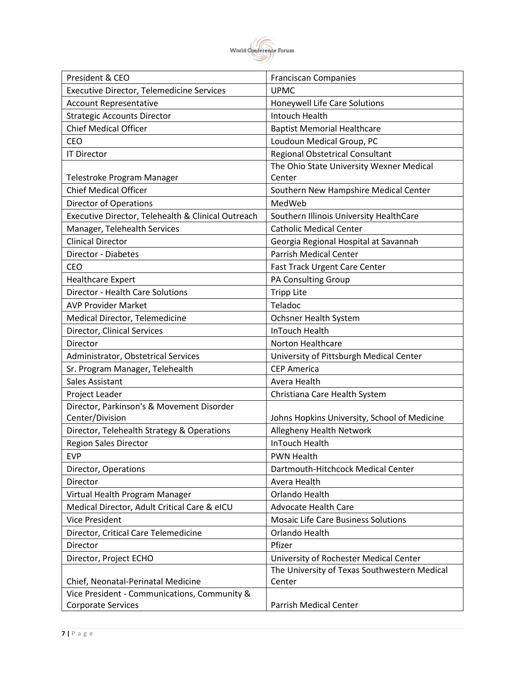

| President & CEO                                    | <b>Franciscan Companies</b>                  |
|----------------------------------------------------|----------------------------------------------|
| <b>Executive Director, Telemedicine Services</b>   | <b>UPMC</b>                                  |
| <b>Account Representative</b>                      | Honeywell Life Care Solutions                |
| <b>Strategic Accounts Director</b>                 | Intouch Health                               |
| <b>Chief Medical Officer</b>                       | <b>Baptist Memorial Healthcare</b>           |
| <b>CEO</b>                                         | Loudoun Medical Group, PC                    |
| <b>IT Director</b>                                 | Regional Obstetrical Consultant              |
|                                                    | The Ohio State University Wexner Medical     |
| Telestroke Program Manager                         | Center                                       |
| <b>Chief Medical Officer</b>                       | Southern New Hampshire Medical Center        |
| <b>Director of Operations</b>                      | MedWeb                                       |
| Executive Director, Telehealth & Clinical Outreach | Southern Illinois University HealthCare      |
| Manager, Telehealth Services                       | <b>Catholic Medical Center</b>               |
| <b>Clinical Director</b>                           | Georgia Regional Hospital at Savannah        |
| Director - Diabetes                                | <b>Parrish Medical Center</b>                |
| <b>CEO</b>                                         | <b>Fast Track Urgent Care Center</b>         |
| <b>Healthcare Expert</b>                           | PA Consulting Group                          |
| Director - Health Care Solutions                   | <b>Tripp Lite</b>                            |
| <b>AVP Provider Market</b>                         | Teladoc                                      |
| Medical Director, Telemedicine                     | Ochsner Health System                        |
| Director, Clinical Services                        | InTouch Health                               |
| Director                                           | Norton Healthcare                            |
| Administrator, Obstetrical Services                | University of Pittsburgh Medical Center      |
| Sr. Program Manager, Telehealth                    | <b>CEP America</b>                           |
| <b>Sales Assistant</b>                             | Avera Health                                 |
| Project Leader                                     | Christiana Care Health System                |
| Director, Parkinson's & Movement Disorder          |                                              |
| Center/Division                                    | Johns Hopkins University, School of Medicine |
| Director, Telehealth Strategy & Operations         | Allegheny Health Network                     |
| <b>Region Sales Director</b>                       | InTouch Health                               |
| <b>EVP</b>                                         | <b>PWN Health</b>                            |
| Director, Operations                               | Dartmouth-Hitchcock Medical Center           |
| Director                                           | Avera Health                                 |
| Virtual Health Program Manager                     | Orlando Health                               |
| Medical Director, Adult Critical Care & eICU       | <b>Advocate Health Care</b>                  |
| <b>Vice President</b>                              | <b>Mosaic Life Care Business Solutions</b>   |
| Director, Critical Care Telemedicine               | Orlando Health                               |
| Director                                           | Pfizer                                       |
| Director, Project ECHO                             | University of Rochester Medical Center       |
|                                                    | The University of Texas Southwestern Medical |
| Chief, Neonatal-Perinatal Medicine                 | Center                                       |
| Vice President - Communications, Community &       |                                              |
| Corporate Services                                 | Parrish Medical Center                       |